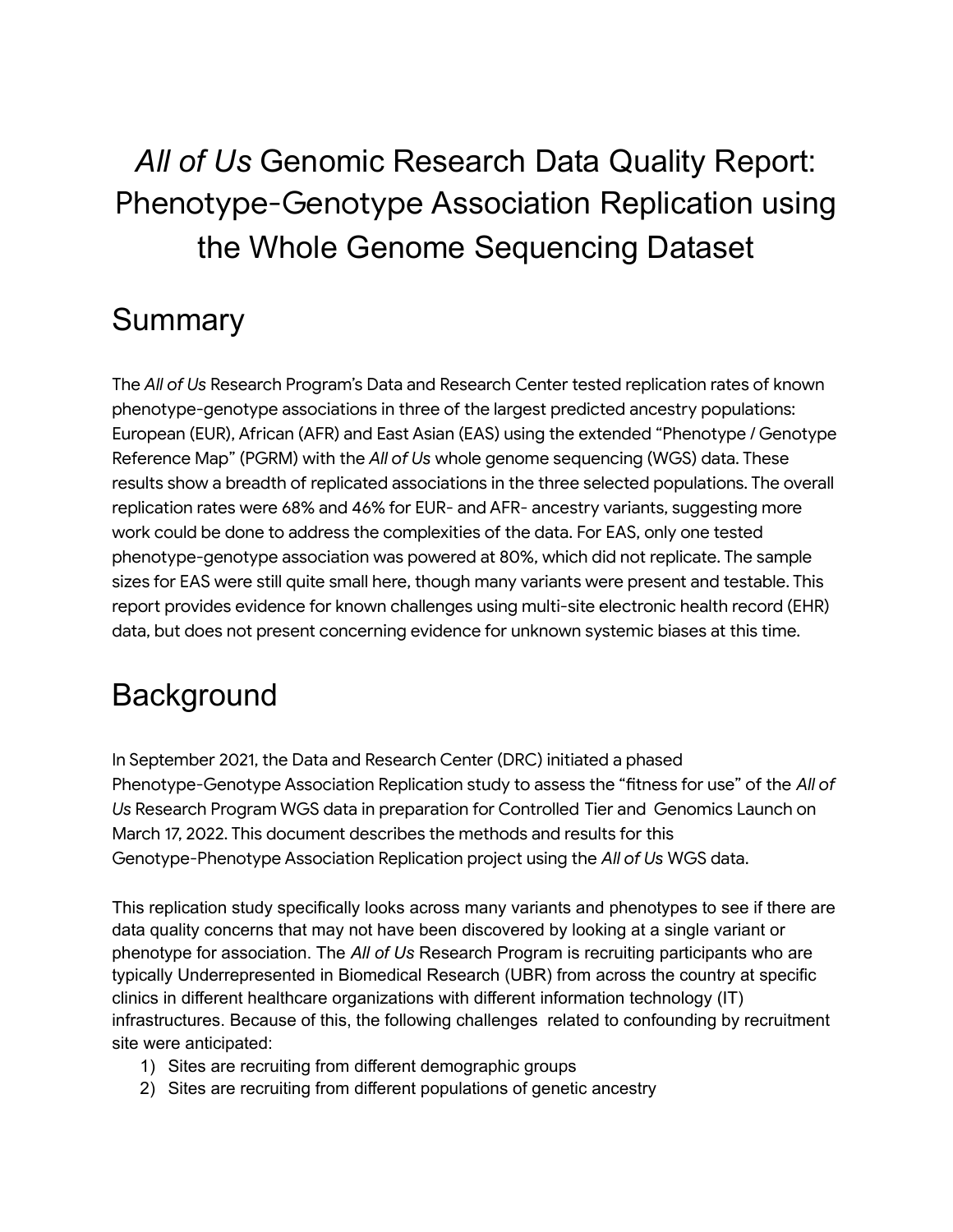# *All of Us* Genomic Research Data Quality Report: Phenotype-Genotype Association Replication using the Whole Genome Sequencing Dataset

# Summary

The *All of Us* Research Program's Data and Research Center tested replication rates of known phenotype-genotype associations in three of the largest predicted ancestry populations: European (EUR), African (AFR) and East Asian (EAS) using the extended "Phenotype / Genotype Reference Map" (PGRM) with the *All of Us* whole genome sequencing (WGS) data. These results show a breadth of replicated associations in the three selected populations. The overall replication rates were 68% and 46% for EUR- and AFR- ancestry variants, suggesting more work could be done to address the complexities of the data. For EAS, only one tested phenotype-genotype association was powered at 80%, which did not replicate. The sample sizes for EAS were still quite small here, though many variants were present and testable. This report provides evidence for known challenges using multi-site electronic health record (EHR) data, but does not present concerning evidence for unknown systemic biases at this time.

# **Background**

In September 2021, the Data and Research Center (DRC) initiated a phased Phenotype-Genotype Association Replication study to assess the "fitness for use" of the *All of Us* Research Program WGS data in preparation for Controlled Tier and Genomics Launch on March 17, 2022. This document describes the methods and results for this Genotype-Phenotype Association Replication project using the *All of Us* WGS data.

This replication study specifically looks across many variants and phenotypes to see if there are data quality concerns that may not have been discovered by looking at a single variant or phenotype for association. The *All of Us* Research Program is recruiting participants who are typically Underrepresented in Biomedical Research (UBR) from across the country at specific clinics in different healthcare organizations with different information technology (IT) infrastructures. Because of this, the following challenges related to confounding by recruitment site were anticipated:

- 1) Sites are recruiting from different demographic groups
- 2) Sites are recruiting from different populations of genetic ancestry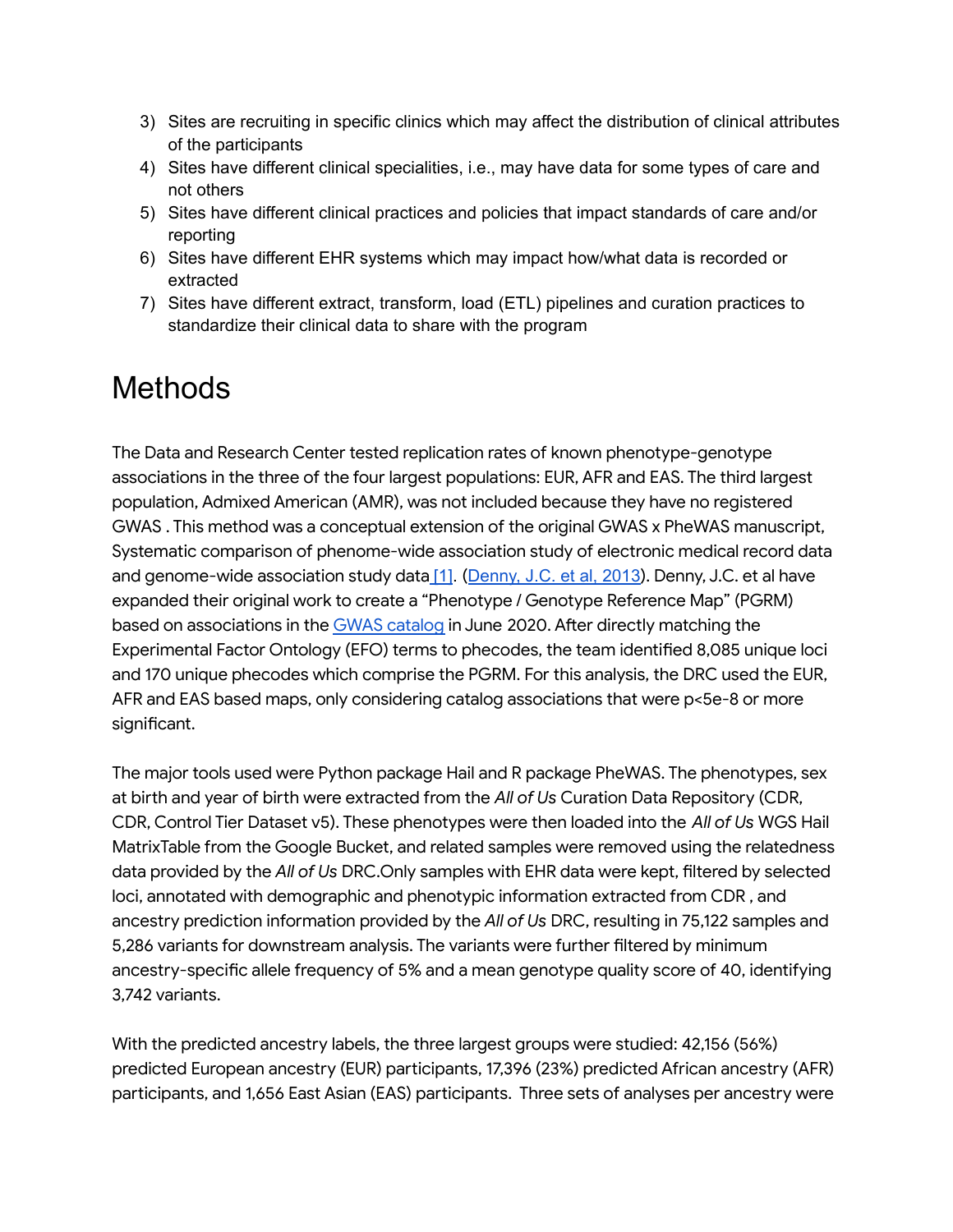- 3) Sites are recruiting in specific clinics which may affect the distribution of clinical attributes of the participants
- 4) Sites have different clinical specialities, i.e., may have data for some types of care and not others
- 5) Sites have different clinical practices and policies that impact standards of care and/or reporting
- 6) Sites have different EHR systems which may impact how/what data is recorded or extracted
- 7) Sites have different extract, transform, load (ETL) pipelines and curation practices to standardize their clinical data to share with the program

# Methods

The Data and Research Center tested replication rates of known phenotype-genotype associations in the three of the four largest populations: EUR, AFR and EAS. The third largest population, Admixed American (AMR), was not included because they have no registered GWAS . This method was a conceptual extension of the original GWAS x PheWAS manuscript, Systematic comparison of phenome-wide association study of electronic medical record data and genome-wide association study data [\[1\].](#page-7-0) ([Denny,](https://www.nature.com/articles/nbt.2749) J.C. et al, 2013). Denny, J.C. et al have expanded their original work to create a "Phenotype / Genotype Reference Map" (PGRM) based on associations in the GWAS [catalog](https://www.ebi.ac.uk/gwas/home) in June 2020. After directly matching the Experimental Factor Ontology (EFO) terms to phecodes, the team identified 8,085 unique loci and 170 unique phecodes which comprise the PGRM. For this analysis, the DRC used the EUR, AFR and EAS based maps, only considering catalog associations that were p<5e-8 or more significant.

The major tools used were Python package Hail and R package PheWAS. The phenotypes, sex at birth and year of birth were extracted from the *All of Us* Curation Data Repository (CDR, CDR, Control Tier Dataset v5). These phenotypes were then loaded into the *All of Us* WGS Hail MatrixTable from the Google Bucket, and related samples were removed using the relatedness data provided by the *All of Us* DRC.Only samples with EHR data were kept, filtered by selected loci, annotated with demographic and phenotypic information extracted from CDR , and ancestry prediction information provided by the *All of Us* DRC, resulting in 75,122 samples and 5,286 variants for downstream analysis. The variants were further filtered by minimum ancestry-specific allele frequency of 5% and a mean genotype quality score of 40, identifying 3,742 variants.

With the predicted ancestry labels, the three largest groups were studied: 42,156 (56%) predicted European ancestry (EUR) participants, 17,396 (23%) predicted African ancestry (AFR) participants, and 1,656 East Asian (EAS) participants. Three sets of analyses per ancestry were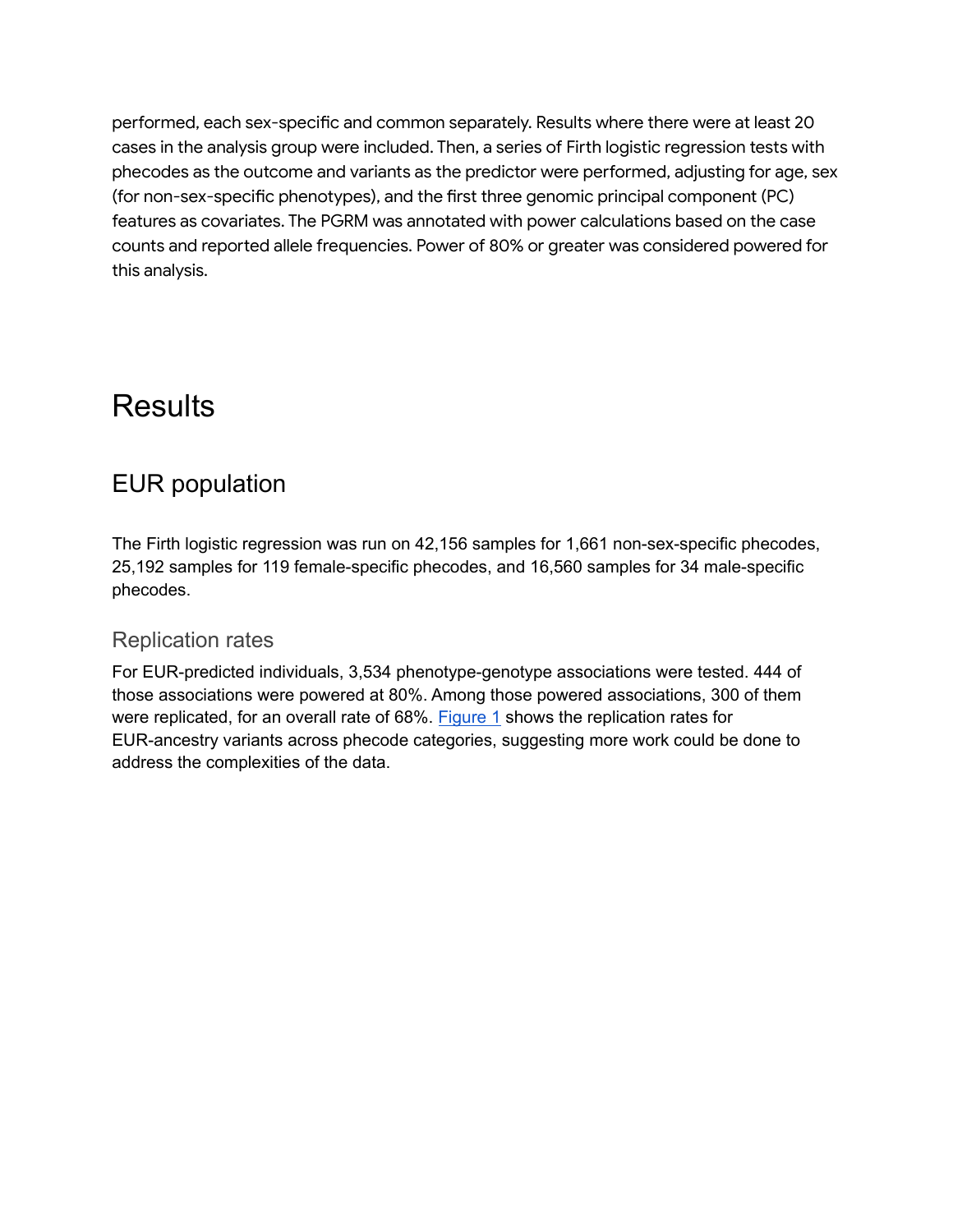performed, each sex-specific and common separately. Results where there were at least 20 cases in the analysis group were included. Then, a series of Firth logistic regression tests with phecodes as the outcome and variants as the predictor were performed, adjusting for age, sex (for non-sex-specific phenotypes), and the first three genomic principal component (PC) features as covariates. The PGRM was annotated with power calculations based on the case counts and reported allele frequencies. Power of 80% or greater was considered powered for this analysis.

# **Results**

### EUR population

The Firth logistic regression was run on 42,156 samples for 1,661 non-sex-specific phecodes, 25,192 samples for 119 female-specific phecodes, and 16,560 samples for 34 male-specific phecodes.

#### Replication rates

For EUR-predicted individuals, 3,534 phenotype-genotype associations were tested. 444 of those associations were powered at 80%. Among those powered associations, 300 of them were replicated, for an overall rate of 68%. [Figure](#page-3-0) 1 shows the replication rates for EUR-ancestry variants across phecode categories, suggesting more work could be done to address the complexities of the data.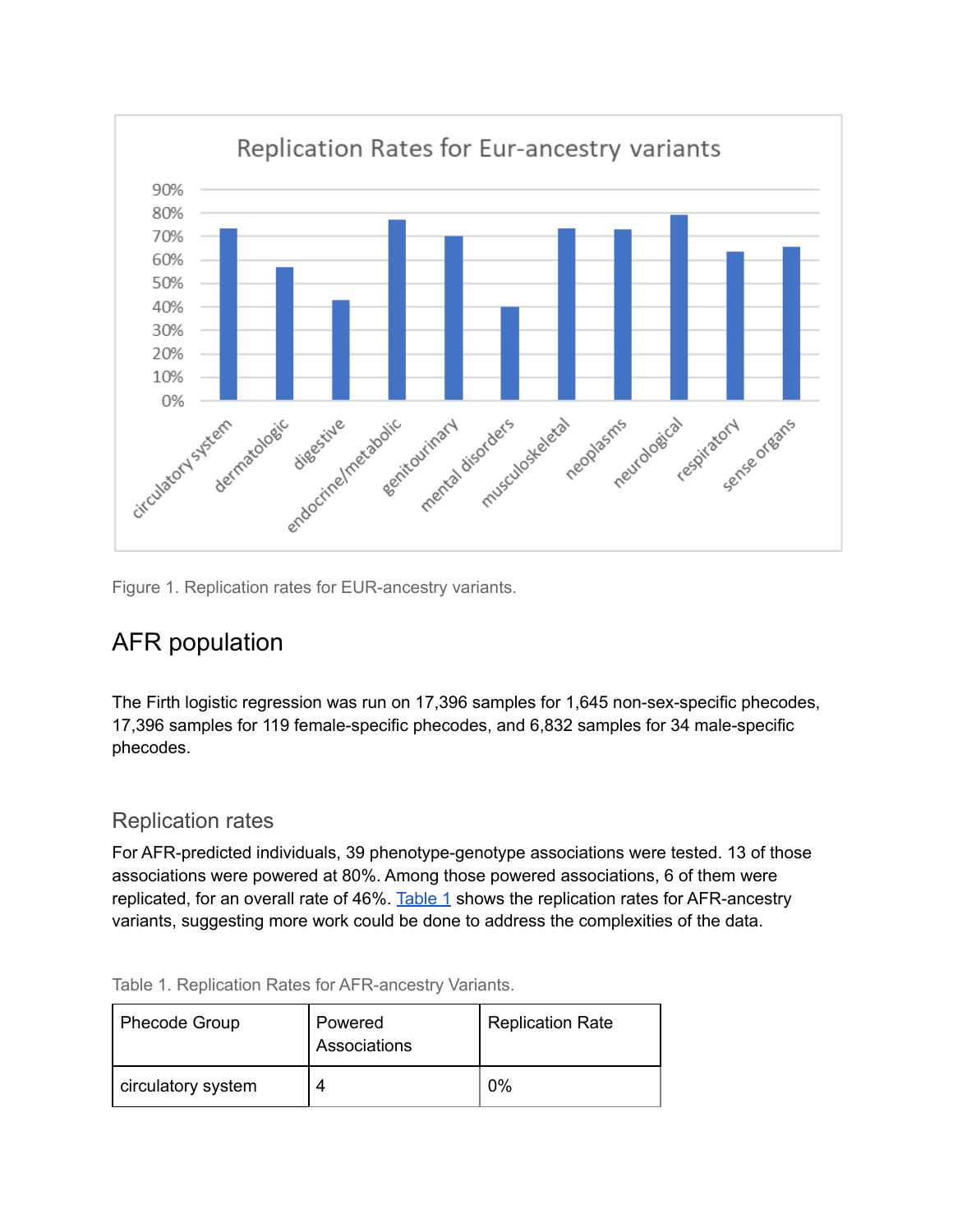

<span id="page-3-0"></span>Figure 1. Replication rates for EUR-ancestry variants.

### AFR population

The Firth logistic regression was run on 17,396 samples for 1,645 non-sex-specific phecodes, 17,396 samples for 119 female-specific phecodes, and 6,832 samples for 34 male-specific phecodes.

#### Replication rates

For AFR-predicted individuals, 39 phenotype-genotype associations were tested. 13 of those associations were powered at 80%. Among those powered associations, 6 of them were replicated, for an overall rate of 46%. [Table](#page-3-1) 1 shows the replication rates for AFR-ancestry variants, suggesting more work could be done to address the complexities of the data.

| <b>Phecode Group</b> | Powered<br>Associations | <b>Replication Rate</b> |
|----------------------|-------------------------|-------------------------|
| circulatory system   | 4                       | $0\%$                   |

<span id="page-3-1"></span>Table 1. Replication Rates for AFR-ancestry Variants.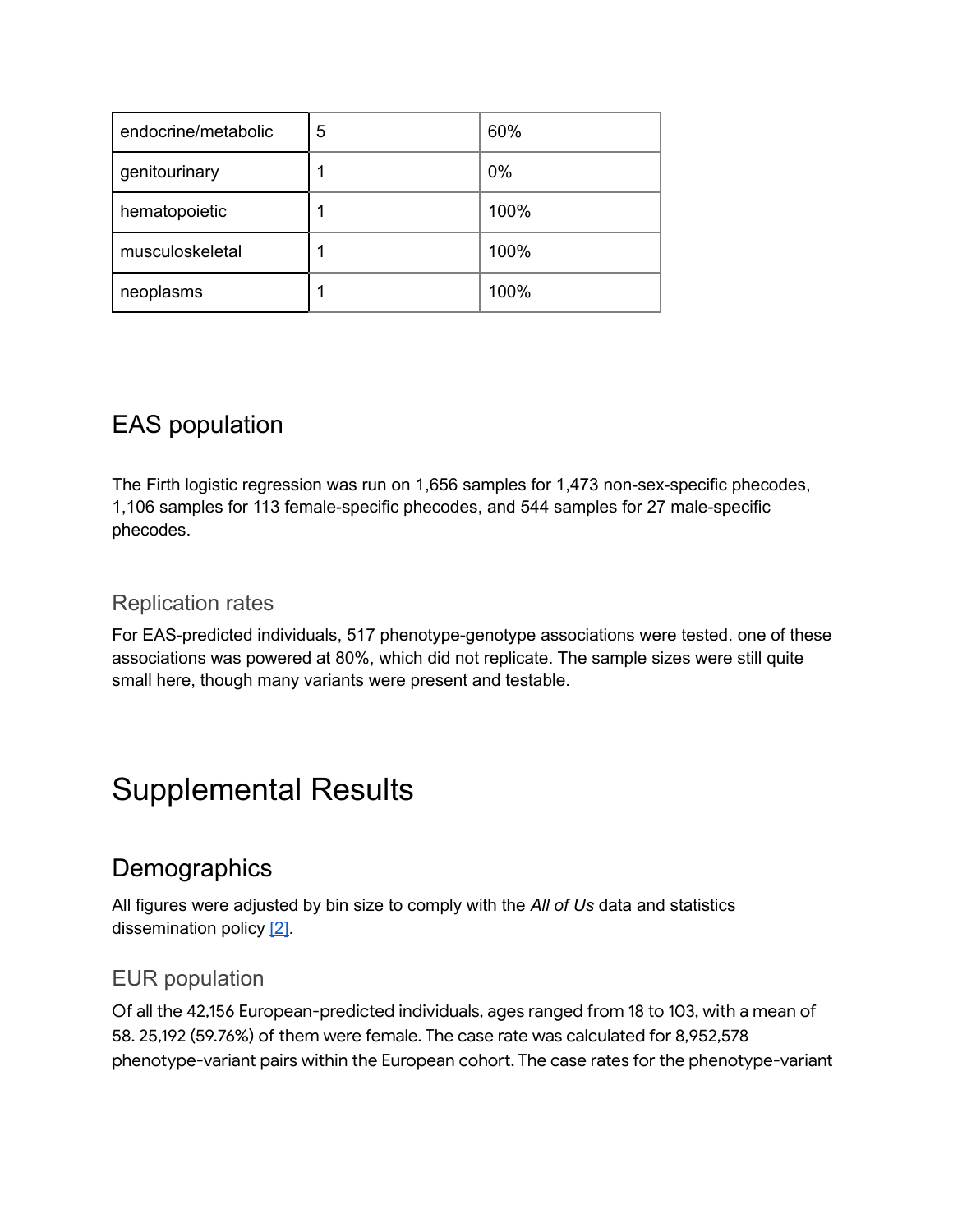| endocrine/metabolic | 5 | 60%   |
|---------------------|---|-------|
| genitourinary       |   | $0\%$ |
| hematopoietic       |   | 100%  |
| musculoskeletal     |   | 100%  |
| neoplasms           |   | 100%  |

### EAS population

The Firth logistic regression was run on 1,656 samples for 1,473 non-sex-specific phecodes, 1,106 samples for 113 female-specific phecodes, and 544 samples for 27 male-specific phecodes.

#### Replication rates

For EAS-predicted individuals, 517 phenotype-genotype associations were tested. one of these associations was powered at 80%, which did not replicate. The sample sizes were still quite small here, though many variants were present and testable.

# Supplemental Results

### **Demographics**

All figures were adjusted by bin size to comply with the *All of Us* data and statistics dissemination policy [\[2\].](#page-7-1)

#### EUR population

Of all the 42,156 European-predicted individuals, ages ranged from 18 to 103, with a mean of 58. 25,192 (59.76%) of them were female. The case rate was calculated for 8,952,578 phenotype-variant pairs within the European cohort. The case rates for the phenotype-variant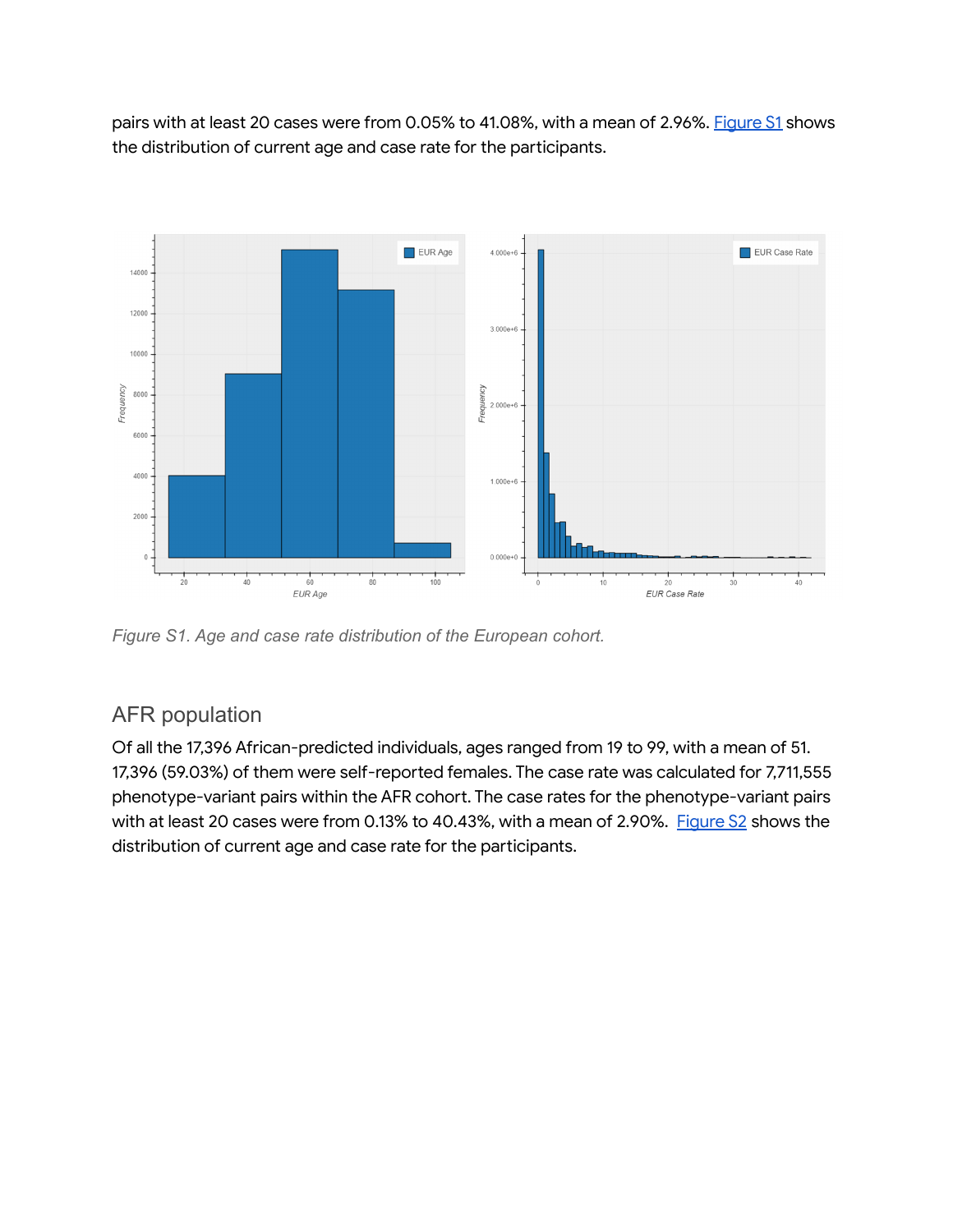pairs with at least 20 cases were from 0.05% to 41.08%, with a mean of 2.96%. [Figure](#page-5-0) S1 shows the distribution of current age and case rate for the participants.

<span id="page-5-0"></span>

*Figure S1. Age and case rate distribution of the European cohort.*

#### AFR population

Of all the 17,396 African-predicted individuals, ages ranged from 19 to 99, with a mean of 51. 17,396 (59.03%) of them were self-reported females. The case rate was calculated for 7,711,555 phenotype-variant pairs within the AFR cohort. The case rates for the phenotype-variant pairs with at least 20 cases were from 0.13% to 40.43%, with a mean of 2.90%. [Figure](#page-6-0) S2 shows the distribution of current age and case rate for the participants.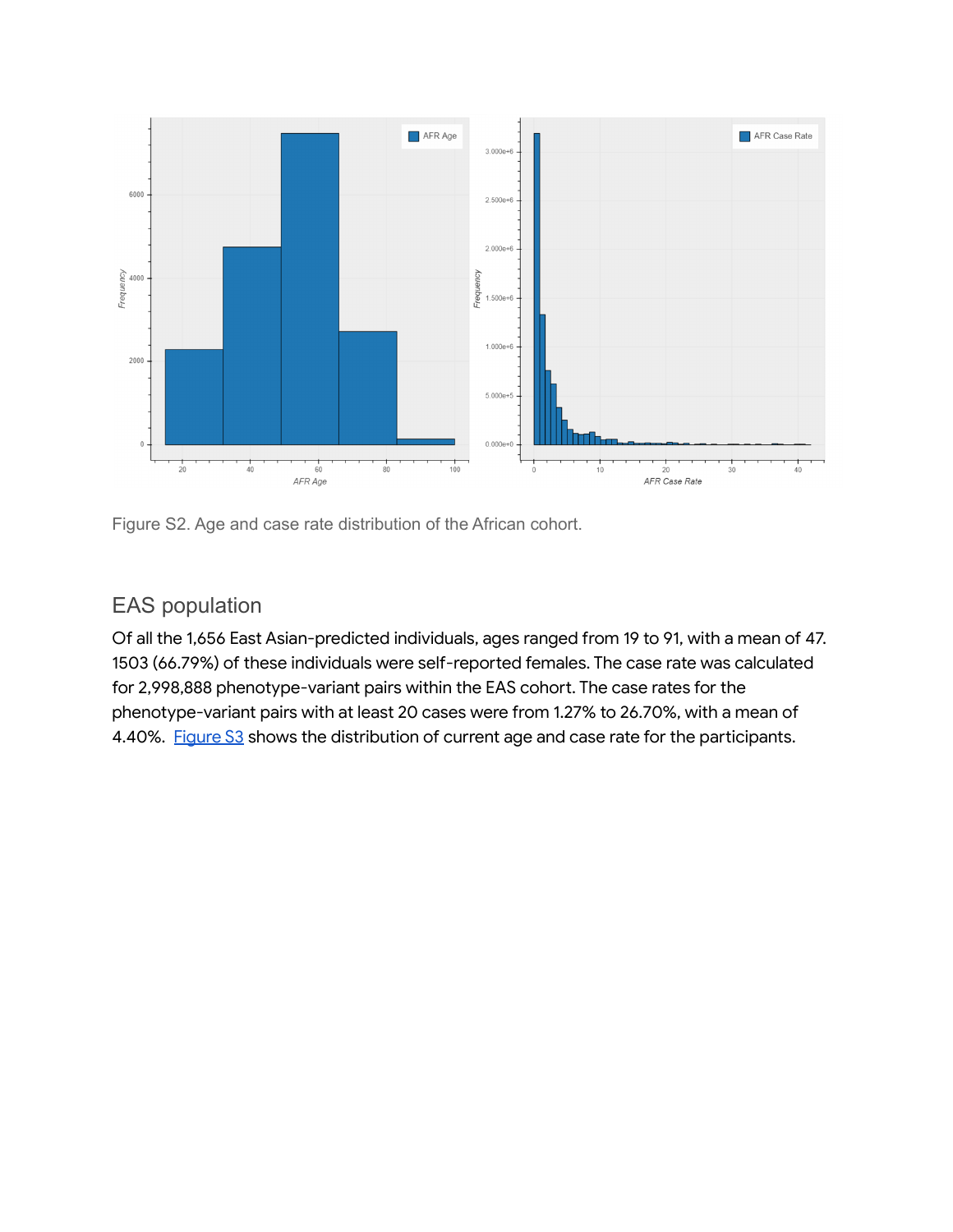

<span id="page-6-0"></span>Figure S2. Age and case rate distribution of the African cohort.

### EAS population

Of all the 1,656 East Asian-predicted individuals, ages ranged from 19 to 91, with a mean of 47. 1503 (66.79%) of these individuals were self-reported females. The case rate was calculated for 2,998,888 phenotype-variant pairs within the EAS cohort. The case rates for the phenotype-variant pairs with at least 20 cases were from 1.27% to 26.70%, with a mean of 4.40%. [Figure](https://docs.google.com/document/d/1vBW8BRnVNvK9NHXe4Jc92axNxDwA1KXgkImM-udElYc/edit#heading=h.w1cfh06xwcgf) S3 shows the distribution of current age and case rate for the participants.